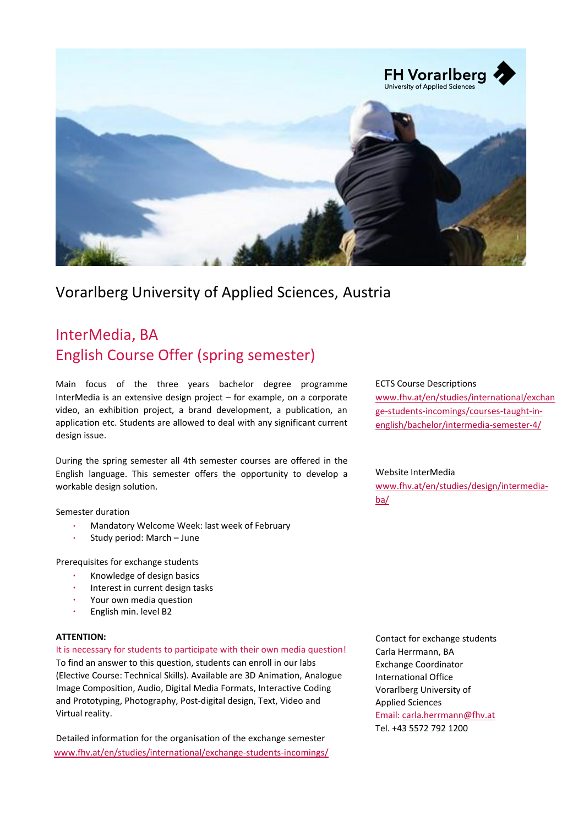

# Vorarlberg University of Applied Sciences, Austria

# InterMedia, BA English Course Offer (spring semester)

Main focus of the three years bachelor degree programme InterMedia is an extensive design project – for example, on a corporate video, an exhibition project, a brand development, a publication, an application etc. Students are allowed to deal with any significant current design issue.

During the spring semester all 4th semester courses are offered in the English language. This semester offers the opportunity to develop a workable design solution.

Semester duration

- Mandatory Welcome Week: last week of February
- Study period: March June

Prerequisites for exchange students

- Knowledge of design basics
- Interest in current design tasks
- Your own media question
- English min. level B2

#### **ATTENTION:**

It is necessary for students to participate with their own media question!

To find an answer to this question, students can enroll in our labs (Elective Course: Technical Skills). Available are 3D Animation, Analogue Image Composition, Audio, Digital Media Formats, Interactive Coding and Prototyping, Photography, Post-digital design, Text, Video and Virtual reality.

Detailed information for the organisation of the exchange semester [www.fhv.at/en/studies/international/exchange-students-incomings/](http://www.fhv.at/en/studies/international/exchange-students-incomings/) ECTS Course Descriptions [www.fhv.at/en/studies/international/exchan](http://www.fhv.at/en/studies/international/exchange-students-incomings/courses-taught-in-english/bachelor/intermedia-semester-4/) [ge-students-incomings/courses-taught-in](http://www.fhv.at/en/studies/international/exchange-students-incomings/courses-taught-in-english/bachelor/intermedia-semester-4/)[english/bachelor/intermedia-semester-4/](http://www.fhv.at/en/studies/international/exchange-students-incomings/courses-taught-in-english/bachelor/intermedia-semester-4/)

#### Website InterMedia

[www.fhv.at/en/studies/design/intermedia](http://www.fhv.at/en/studies/design/intermedia-ba/)[ba/](http://www.fhv.at/en/studies/design/intermedia-ba/)

Contact for exchange students Carla Herrmann, BA Exchange Coordinator International Office Vorarlberg University of Applied Sciences Email: [carla.herrmann@fhv.at](mailto:carla.herrmann@fhv.at) Tel. +43 5572 792 1200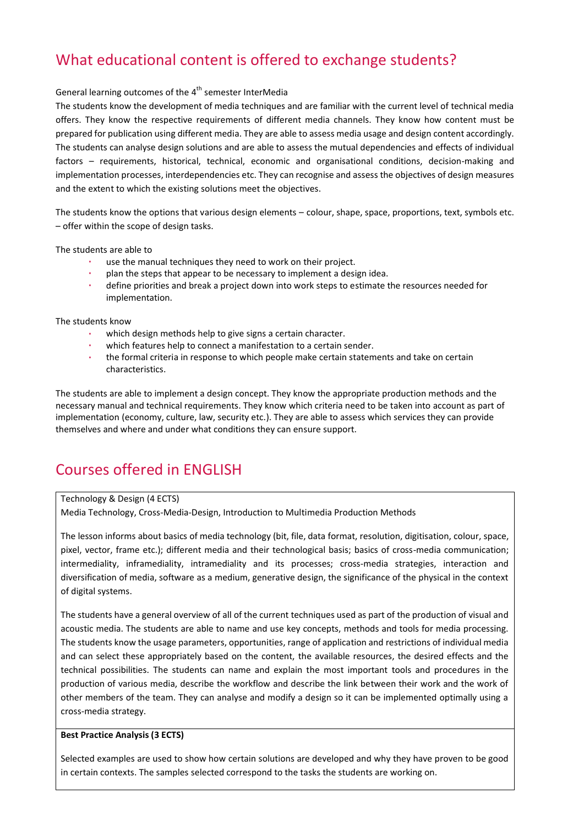# What educational content is offered to exchange students?

## General learning outcomes of the 4<sup>th</sup> semester InterMedia

The students know the development of media techniques and are familiar with the current level of technical media offers. They know the respective requirements of different media channels. They know how content must be prepared for publication using different media. They are able to assess media usage and design content accordingly. The students can analyse design solutions and are able to assess the mutual dependencies and effects of individual factors – requirements, historical, technical, economic and organisational conditions, decision-making and implementation processes, interdependencies etc. They can recognise and assess the objectives of design measures and the extent to which the existing solutions meet the objectives.

The students know the options that various design elements – colour, shape, space, proportions, text, symbols etc. – offer within the scope of design tasks.

The students are able to

- use the manual techniques they need to work on their project.
- plan the steps that appear to be necessary to implement a design idea.
- define priorities and break a project down into work steps to estimate the resources needed for implementation.

The students know

- which design methods help to give signs a certain character.
- which features help to connect a manifestation to a certain sender.
- the formal criteria in response to which people make certain statements and take on certain characteristics.

The students are able to implement a design concept. They know the appropriate production methods and the necessary manual and technical requirements. They know which criteria need to be taken into account as part of implementation (economy, culture, law, security etc.). They are able to assess which services they can provide themselves and where and under what conditions they can ensure support.

## Courses offered in ENGLISH

#### Technology & Design (4 ECTS)

Media Technology, Cross-Media-Design, Introduction to Multimedia Production Methods

The lesson informs about basics of media technology (bit, file, data format, resolution, digitisation, colour, space, pixel, vector, frame etc.); different media and their technological basis; basics of cross-media communication; intermediality, inframediality, intramediality and its processes; cross-media strategies, interaction and diversification of media, software as a medium, generative design, the significance of the physical in the context of digital systems.

The students have a general overview of all of the current techniques used as part of the production of visual and acoustic media. The students are able to name and use key concepts, methods and tools for media processing. The students know the usage parameters, opportunities, range of application and restrictions of individual media and can select these appropriately based on the content, the available resources, the desired effects and the technical possibilities. The students can name and explain the most important tools and procedures in the production of various media, describe the workflow and describe the link between their work and the work of other members of the team. They can analyse and modify a design so it can be implemented optimally using a cross-media strategy.

#### **Best Practice Analysis (3 ECTS)**

Selected examples are used to show how certain solutions are developed and why they have proven to be good in certain contexts. The samples selected correspond to the tasks the students are working on.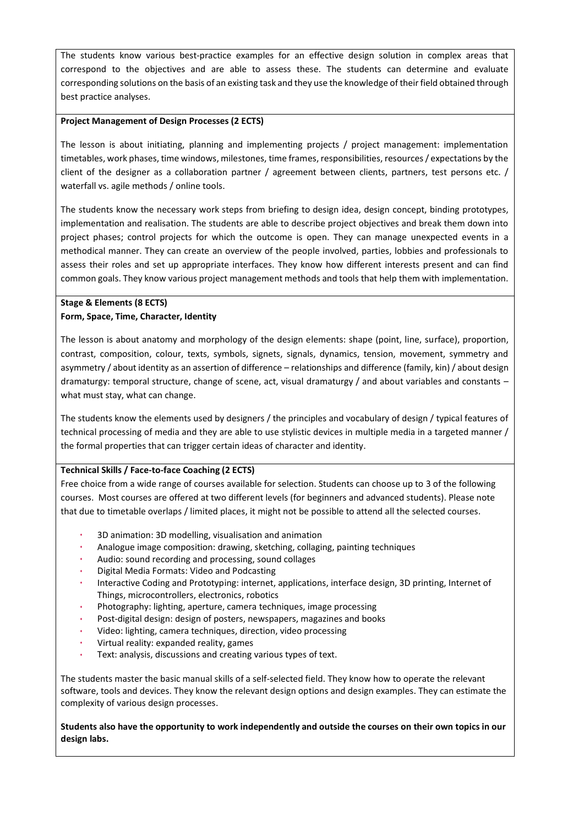The students know various best-practice examples for an effective design solution in complex areas that correspond to the objectives and are able to assess these. The students can determine and evaluate corresponding solutions on the basis of an existing task and they use the knowledge of their field obtained through best practice analyses.

#### **Project Management of Design Processes (2 ECTS)**

The lesson is about initiating, planning and implementing projects / project management: implementation timetables, work phases, time windows, milestones, time frames, responsibilities, resources / expectations by the client of the designer as a collaboration partner / agreement between clients, partners, test persons etc. / waterfall vs. agile methods / online tools.

The students know the necessary work steps from briefing to design idea, design concept, binding prototypes, implementation and realisation. The students are able to describe project objectives and break them down into project phases; control projects for which the outcome is open. They can manage unexpected events in a methodical manner. They can create an overview of the people involved, parties, lobbies and professionals to assess their roles and set up appropriate interfaces. They know how different interests present and can find common goals. They know various project management methods and tools that help them with implementation.

### **Stage & Elements (8 ECTS) Form, Space, Time, Character, Identity**

The lesson is about anatomy and morphology of the design elements: shape (point, line, surface), proportion, contrast, composition, colour, texts, symbols, signets, signals, dynamics, tension, movement, symmetry and asymmetry / about identity as an assertion of difference – relationships and difference (family, kin) / about design dramaturgy: temporal structure, change of scene, act, visual dramaturgy / and about variables and constants – what must stay, what can change.

The students know the elements used by designers / the principles and vocabulary of design / typical features of technical processing of media and they are able to use stylistic devices in multiple media in a targeted manner / the formal properties that can trigger certain ideas of character and identity.

#### **Technical Skills / Face-to-face Coaching (2 ECTS)**

Free choice from a wide range of courses available for selection. Students can choose up to 3 of the following courses. Most courses are offered at two different levels (for beginners and advanced students). Please note that due to timetable overlaps / limited places, it might not be possible to attend all the selected courses.

- 3D animation: 3D modelling, visualisation and animation
- Analogue image composition: drawing, sketching, collaging, painting techniques
- Audio: sound recording and processing, sound collages
- Digital Media Formats: Video and Podcasting
- Interactive Coding and Prototyping: internet, applications, interface design, 3D printing, Internet of Things, microcontrollers, electronics, robotics
- Photography: lighting, aperture, camera techniques, image processing
- Post-digital design: design of posters, newspapers, magazines and books
- Video: lighting, camera techniques, direction, video processing
- Virtual reality: expanded reality, games
- Text: analysis, discussions and creating various types of text.

The students master the basic manual skills of a self-selected field. They know how to operate the relevant software, tools and devices. They know the relevant design options and design examples. They can estimate the complexity of various design processes.

**Students also have the opportunity to work independently and outside the courses on their own topics in our design labs.**